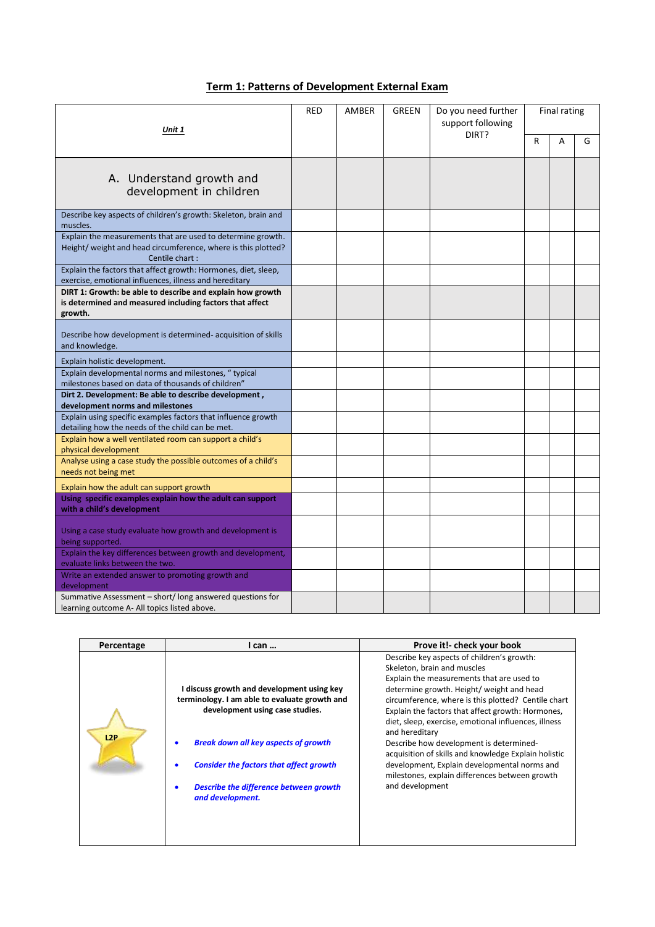## **Term 1: Patterns of Development External Exam**

| Unit 1                                                                                                                                          |  | AMBER | <b>GREEN</b> | Do you need further<br>support following | <b>Final rating</b> |   |   |
|-------------------------------------------------------------------------------------------------------------------------------------------------|--|-------|--------------|------------------------------------------|---------------------|---|---|
|                                                                                                                                                 |  |       |              | DIRT?                                    | R                   | A | G |
| A. Understand growth and<br>development in children                                                                                             |  |       |              |                                          |                     |   |   |
| Describe key aspects of children's growth: Skeleton, brain and<br>muscles.                                                                      |  |       |              |                                          |                     |   |   |
| Explain the measurements that are used to determine growth.<br>Height/ weight and head circumference, where is this plotted?<br>Centile chart : |  |       |              |                                          |                     |   |   |
| Explain the factors that affect growth: Hormones, diet, sleep,<br>exercise, emotional influences, illness and hereditary                        |  |       |              |                                          |                     |   |   |
| DIRT 1: Growth: be able to describe and explain how growth<br>is determined and measured including factors that affect<br>growth.               |  |       |              |                                          |                     |   |   |
| Describe how development is determined-acquisition of skills<br>and knowledge.                                                                  |  |       |              |                                          |                     |   |   |
| Explain holistic development.                                                                                                                   |  |       |              |                                          |                     |   |   |
| Explain developmental norms and milestones, "typical<br>milestones based on data of thousands of children"                                      |  |       |              |                                          |                     |   |   |
| Dirt 2. Development: Be able to describe development,<br>development norms and milestones                                                       |  |       |              |                                          |                     |   |   |
| Explain using specific examples factors that influence growth<br>detailing how the needs of the child can be met.                               |  |       |              |                                          |                     |   |   |
| Explain how a well ventilated room can support a child's<br>physical development                                                                |  |       |              |                                          |                     |   |   |
| Analyse using a case study the possible outcomes of a child's<br>needs not being met                                                            |  |       |              |                                          |                     |   |   |
| Explain how the adult can support growth                                                                                                        |  |       |              |                                          |                     |   |   |
| Using specific examples explain how the adult can support<br>with a child's development                                                         |  |       |              |                                          |                     |   |   |
| Using a case study evaluate how growth and development is<br>being supported.                                                                   |  |       |              |                                          |                     |   |   |
| Explain the key differences between growth and development,<br>evaluate links between the two.                                                  |  |       |              |                                          |                     |   |   |
| Write an extended answer to promoting growth and<br>development                                                                                 |  |       |              |                                          |                     |   |   |
| Summative Assessment - short/long answered questions for<br>learning outcome A- All topics listed above.                                        |  |       |              |                                          |                     |   |   |

| Describe key aspects of children's growth:<br>Skeleton, brain and muscles<br>Explain the measurements that are used to<br>determine growth. Height/ weight and head<br>circumference, where is this plotted? Centile chart<br>Explain the factors that affect growth: Hormones,<br>diet, sleep, exercise, emotional influences, illness<br>and hereditary<br>Describe how development is determined-<br>acquisition of skills and knowledge Explain holistic<br>development, Explain developmental norms and<br>milestones, explain differences between growth<br>and development |
|-----------------------------------------------------------------------------------------------------------------------------------------------------------------------------------------------------------------------------------------------------------------------------------------------------------------------------------------------------------------------------------------------------------------------------------------------------------------------------------------------------------------------------------------------------------------------------------|
|                                                                                                                                                                                                                                                                                                                                                                                                                                                                                                                                                                                   |